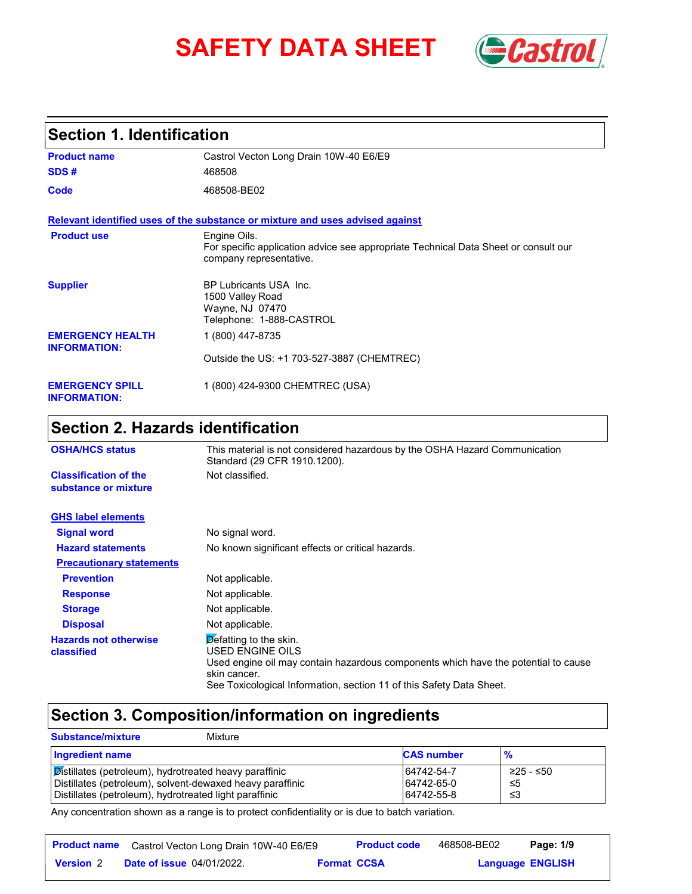# **SAFETY DATA SHEET Gastrol**



## **Section 1. Identification**

| <b>Product name</b>                            | Castrol Vecton Long Drain 10W-40 E6/E9                                                                                         |
|------------------------------------------------|--------------------------------------------------------------------------------------------------------------------------------|
| SDS#                                           | 468508                                                                                                                         |
| Code                                           | 468508-BE02                                                                                                                    |
|                                                | Relevant identified uses of the substance or mixture and uses advised against                                                  |
| <b>Product use</b>                             | Engine Oils.<br>For specific application advice see appropriate Technical Data Sheet or consult our<br>company representative. |
| <b>Supplier</b>                                | BP Lubricants USA Inc.<br>1500 Valley Road<br>Wayne, NJ 07470<br>Telephone: 1-888-CASTROL                                      |
| <b>EMERGENCY HEALTH</b><br><b>INFORMATION:</b> | 1 (800) 447-8735                                                                                                               |
|                                                | Outside the US: +1 703-527-3887 (CHEMTREC)                                                                                     |
| <b>EMERGENCY SPILL</b><br><b>INFORMATION:</b>  | 1 (800) 424-9300 CHEMTREC (USA)                                                                                                |

## **Section 2. Hazards identification**

| <b>OSHA/HCS status</b>                               | This material is not considered hazardous by the OSHA Hazard Communication<br>Standard (29 CFR 1910.1200).                                                                                                                               |
|------------------------------------------------------|------------------------------------------------------------------------------------------------------------------------------------------------------------------------------------------------------------------------------------------|
| <b>Classification of the</b><br>substance or mixture | Not classified.                                                                                                                                                                                                                          |
| <b>GHS label elements</b>                            |                                                                                                                                                                                                                                          |
| <b>Signal word</b>                                   | No signal word.                                                                                                                                                                                                                          |
| <b>Hazard statements</b>                             | No known significant effects or critical hazards.                                                                                                                                                                                        |
| <b>Precautionary statements</b>                      |                                                                                                                                                                                                                                          |
| <b>Prevention</b>                                    | Not applicable.                                                                                                                                                                                                                          |
| <b>Response</b>                                      | Not applicable.                                                                                                                                                                                                                          |
| <b>Storage</b>                                       | Not applicable.                                                                                                                                                                                                                          |
| <b>Disposal</b>                                      | Not applicable.                                                                                                                                                                                                                          |
| <b>Hazards not otherwise</b><br>classified           | $\triangleright$ efatting to the skin.<br>USED ENGINE OILS<br>Used engine oil may contain hazardous components which have the potential to cause<br>skin cancer.<br>See Toxicological Information, section 11 of this Safety Data Sheet. |

## **Section 3. Composition/information on ingredients**

| <b>Substance/mixture</b>                                                                                                                                                      | Mixture |                                        |                         |
|-------------------------------------------------------------------------------------------------------------------------------------------------------------------------------|---------|----------------------------------------|-------------------------|
| <b>Ingredient name</b>                                                                                                                                                        |         | <b>CAS number</b>                      | $\frac{9}{6}$           |
| Distillates (petroleum), hydrotreated heavy paraffinic<br>Distillates (petroleum), solvent-dewaxed heavy paraffinic<br>Distillates (petroleum), hydrotreated light paraffinic |         | 64742-54-7<br>64742-65-0<br>64742-55-8 | ≥25 - ≤50<br>-≤5<br>-≤3 |

Any concentration shown as a range is to protect confidentiality or is due to batch variation.

|                  | <b>Product name</b> Castrol Vecton Long Drain 10W-40 E6/E9 |                    | <b>Product code</b> | 468508-BE02             | Page: 1/9 |  |
|------------------|------------------------------------------------------------|--------------------|---------------------|-------------------------|-----------|--|
| <b>Version 2</b> | <b>Date of issue 04/01/2022.</b>                           | <b>Format CCSA</b> |                     | <b>Language ENGLISH</b> |           |  |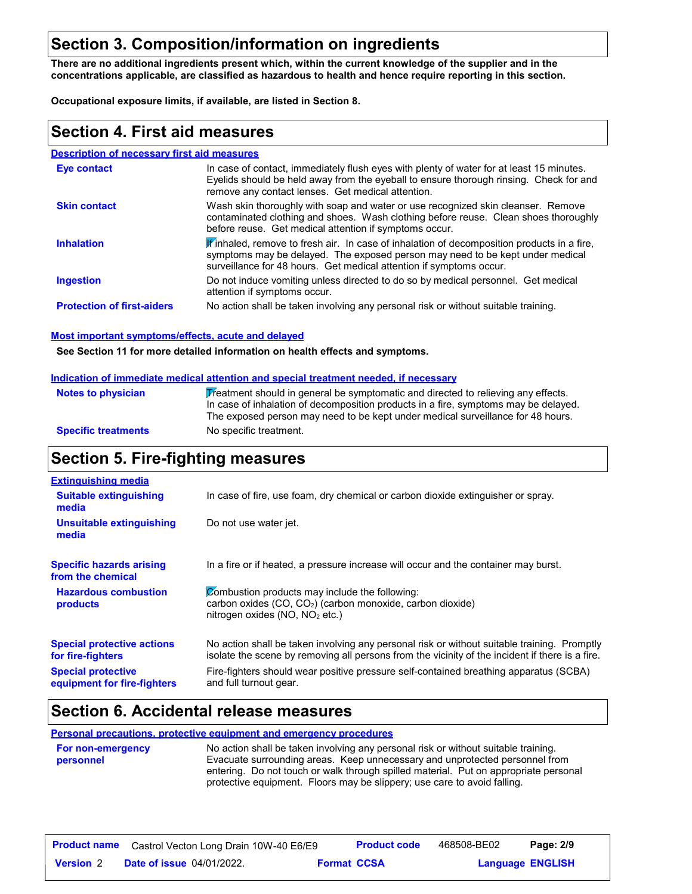## **Section 3. Composition/information on ingredients**

**There are no additional ingredients present which, within the current knowledge of the supplier and in the concentrations applicable, are classified as hazardous to health and hence require reporting in this section.**

**Occupational exposure limits, if available, are listed in Section 8.**

#### **Section 4. First aid measures**

#### **Description of necessary first aid measures**

| Eye contact                       | In case of contact, immediately flush eyes with plenty of water for at least 15 minutes.<br>Eyelids should be held away from the eyeball to ensure thorough rinsing. Check for and<br>remove any contact lenses. Get medical attention.             |
|-----------------------------------|-----------------------------------------------------------------------------------------------------------------------------------------------------------------------------------------------------------------------------------------------------|
| <b>Skin contact</b>               | Wash skin thoroughly with soap and water or use recognized skin cleanser. Remove<br>contaminated clothing and shoes. Wash clothing before reuse. Clean shoes thoroughly<br>before reuse. Get medical attention if symptoms occur.                   |
| <b>Inhalation</b>                 | If inhaled, remove to fresh air. In case of inhalation of decomposition products in a fire,<br>symptoms may be delayed. The exposed person may need to be kept under medical<br>surveillance for 48 hours. Get medical attention if symptoms occur. |
| <b>Ingestion</b>                  | Do not induce vomiting unless directed to do so by medical personnel. Get medical<br>attention if symptoms occur.                                                                                                                                   |
| <b>Protection of first-aiders</b> | No action shall be taken involving any personal risk or without suitable training.                                                                                                                                                                  |

#### **Most important symptoms/effects, acute and delayed**

**See Section 11 for more detailed information on health effects and symptoms.**

#### **Indication of immediate medical attention and special treatment needed, if necessary**

| <b>Notes to physician</b>  | Treatment should in general be symptomatic and directed to relieving any effects.   |
|----------------------------|-------------------------------------------------------------------------------------|
|                            | In case of inhalation of decomposition products in a fire, symptoms may be delayed. |
|                            | The exposed person may need to be kept under medical surveillance for 48 hours.     |
| <b>Specific treatments</b> | No specific treatment.                                                              |

## **Section 5. Fire-fighting measures**

| <b>Extinguishing media</b>                               |                                                                                                                                                                                                |
|----------------------------------------------------------|------------------------------------------------------------------------------------------------------------------------------------------------------------------------------------------------|
| <b>Suitable extinguishing</b><br>media                   | In case of fire, use foam, dry chemical or carbon dioxide extinguisher or spray.                                                                                                               |
| Unsuitable extinguishing<br>media                        | Do not use water jet.                                                                                                                                                                          |
| <b>Specific hazards arising</b><br>from the chemical     | In a fire or if heated, a pressure increase will occur and the container may burst.                                                                                                            |
| <b>Hazardous combustion</b><br>products                  | Combustion products may include the following:<br>carbon oxides (CO, CO <sub>2</sub> ) (carbon monoxide, carbon dioxide)<br>nitrogen oxides (NO, NO <sub>2</sub> etc.)                         |
| <b>Special protective actions</b><br>for fire-fighters   | No action shall be taken involving any personal risk or without suitable training. Promptly<br>isolate the scene by removing all persons from the vicinity of the incident if there is a fire. |
| <b>Special protective</b><br>equipment for fire-fighters | Fire-fighters should wear positive pressure self-contained breathing apparatus (SCBA)<br>and full turnout gear.                                                                                |

## **Section 6. Accidental release measures**

**Personal precautions, protective equipment and emergency procedures**

| <b>For non-emergency</b> | No action shall be taken involving any personal risk or without suitable training.   |  |  |  |  |
|--------------------------|--------------------------------------------------------------------------------------|--|--|--|--|
| personnel                | Evacuate surrounding areas. Keep unnecessary and unprotected personnel from          |  |  |  |  |
|                          | entering. Do not touch or walk through spilled material. Put on appropriate personal |  |  |  |  |
|                          | protective equipment. Floors may be slippery; use care to avoid falling.             |  |  |  |  |

| <b>Product name</b> | Castrol Vecton Long Drain 10W-40 E6/E9 |                    | <b>Product code</b> | 468508-BE02 | Page: 2/9               |  |
|---------------------|----------------------------------------|--------------------|---------------------|-------------|-------------------------|--|
| <b>Version</b> 2    | <b>Date of issue 04/01/2022.</b>       | <b>Format CCSA</b> |                     |             | <b>Language ENGLISH</b> |  |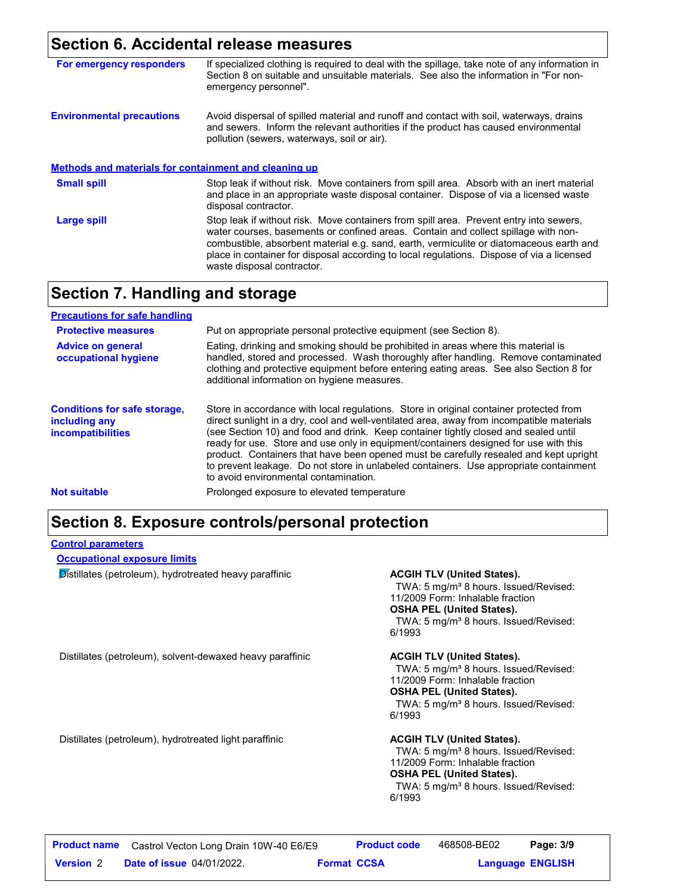#### **Section 6. Accidental release measures**

| For emergency responders                                     | If specialized clothing is required to deal with the spillage, take note of any information in<br>Section 8 on suitable and unsuitable materials. See also the information in "For non-<br>emergency personnel".                                                                                                                                                                                   |
|--------------------------------------------------------------|----------------------------------------------------------------------------------------------------------------------------------------------------------------------------------------------------------------------------------------------------------------------------------------------------------------------------------------------------------------------------------------------------|
| <b>Environmental precautions</b>                             | Avoid dispersal of spilled material and runoff and contact with soil, waterways, drains<br>and sewers. Inform the relevant authorities if the product has caused environmental<br>pollution (sewers, waterways, soil or air).                                                                                                                                                                      |
| <b>Methods and materials for containment and cleaning up</b> |                                                                                                                                                                                                                                                                                                                                                                                                    |
| <b>Small spill</b>                                           | Stop leak if without risk. Move containers from spill area. Absorb with an inert material<br>and place in an appropriate waste disposal container. Dispose of via a licensed waste<br>disposal contractor.                                                                                                                                                                                         |
| <b>Large spill</b>                                           | Stop leak if without risk. Move containers from spill area. Prevent entry into sewers,<br>water courses, basements or confined areas. Contain and collect spillage with non-<br>combustible, absorbent material e.g. sand, earth, vermiculite or diatomaceous earth and<br>place in container for disposal according to local regulations. Dispose of via a licensed<br>waste disposal contractor. |

#### **Section 7. Handling and storage**

| <b>Precautions for safe handling</b>                                             |                                                                                                                                                                                                                                                                                                                                                                                                                                                                                                                                                                                               |
|----------------------------------------------------------------------------------|-----------------------------------------------------------------------------------------------------------------------------------------------------------------------------------------------------------------------------------------------------------------------------------------------------------------------------------------------------------------------------------------------------------------------------------------------------------------------------------------------------------------------------------------------------------------------------------------------|
| <b>Protective measures</b>                                                       | Put on appropriate personal protective equipment (see Section 8).                                                                                                                                                                                                                                                                                                                                                                                                                                                                                                                             |
| <b>Advice on general</b><br>occupational hygiene                                 | Eating, drinking and smoking should be prohibited in areas where this material is<br>handled, stored and processed. Wash thoroughly after handling. Remove contaminated<br>clothing and protective equipment before entering eating areas. See also Section 8 for<br>additional information on hygiene measures.                                                                                                                                                                                                                                                                              |
| <b>Conditions for safe storage,</b><br>including any<br><i>incompatibilities</i> | Store in accordance with local regulations. Store in original container protected from<br>direct sunlight in a dry, cool and well-ventilated area, away from incompatible materials<br>(see Section 10) and food and drink. Keep container tightly closed and sealed until<br>ready for use. Store and use only in equipment/containers designed for use with this<br>product. Containers that have been opened must be carefully resealed and kept upright<br>to prevent leakage. Do not store in unlabeled containers. Use appropriate containment<br>to avoid environmental contamination. |
| <b>Not suitable</b>                                                              | Prolonged exposure to elevated temperature                                                                                                                                                                                                                                                                                                                                                                                                                                                                                                                                                    |

### **Section 8. Exposure controls/personal protection**

#### **Control parameters**

#### **Occupational exposure limits**

**Distillates (petroleum), hydrotreated heavy paraffinic ACGIH TLV (United States).** 

TWA: 5 mg/m<sup>3</sup> 8 hours. Issued/Revised: 11/2009 Form: Inhalable fraction **OSHA PEL (United States).** TWA: 5 mg/m<sup>3</sup> 8 hours. Issued/Revised: 6/1993

Distillates (petroleum), solvent-dewaxed heavy paraffinic **ACGIH TLV (United States).**

TWA: 5 mg/m<sup>3</sup> 8 hours. Issued/Revised: 11/2009 Form: Inhalable fraction **OSHA PEL (United States).**

TWA: 5 mg/m<sup>3</sup> 8 hours. Issued/Revised: 6/1993

Distillates (petroleum), hydrotreated light paraffinic **ACGIH TLV (United States).**

TWA: 5 mg/m<sup>3</sup> 8 hours. Issued/Revised: 11/2009 Form: Inhalable fraction **OSHA PEL (United States).** TWA: 5 mg/m<sup>3</sup> 8 hours. Issued/Revised:

6/1993

| <b>Product name</b> | Castrol Vecton Long Drain 10W-40 E6/E9 |                    | <b>Product code</b> | 468508-BE02             | Page: 3/9 |  |
|---------------------|----------------------------------------|--------------------|---------------------|-------------------------|-----------|--|
| <b>Version 2</b>    | <b>Date of issue 04/01/2022.</b>       | <b>Format CCSA</b> |                     | <b>Language ENGLISH</b> |           |  |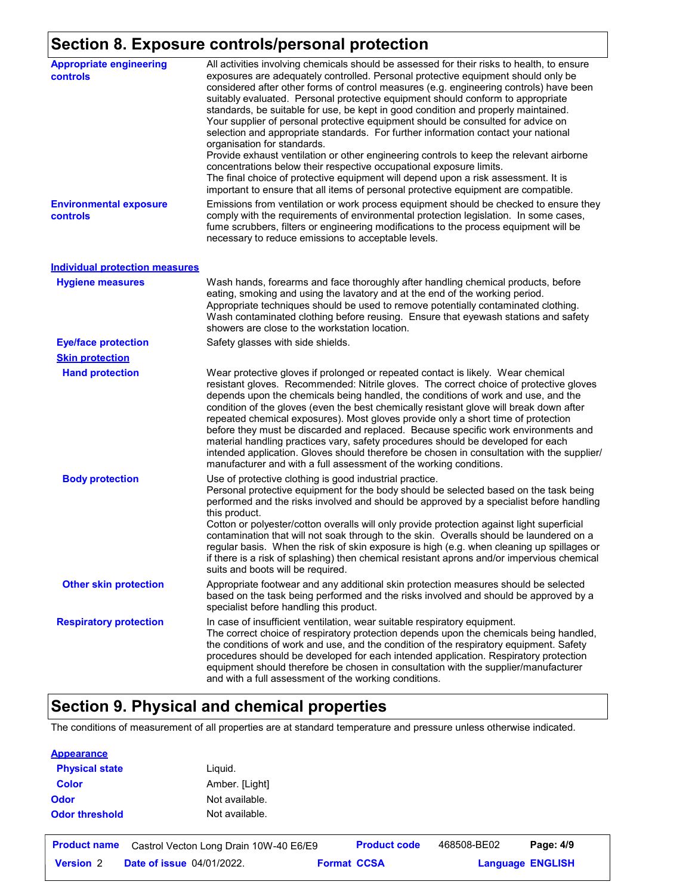## **Section 8. Exposure controls/personal protection**

| <b>Appropriate engineering</b><br>controls | All activities involving chemicals should be assessed for their risks to health, to ensure<br>exposures are adequately controlled. Personal protective equipment should only be<br>considered after other forms of control measures (e.g. engineering controls) have been<br>suitably evaluated. Personal protective equipment should conform to appropriate<br>standards, be suitable for use, be kept in good condition and properly maintained.<br>Your supplier of personal protective equipment should be consulted for advice on<br>selection and appropriate standards. For further information contact your national<br>organisation for standards.<br>Provide exhaust ventilation or other engineering controls to keep the relevant airborne<br>concentrations below their respective occupational exposure limits.<br>The final choice of protective equipment will depend upon a risk assessment. It is<br>important to ensure that all items of personal protective equipment are compatible. |
|--------------------------------------------|------------------------------------------------------------------------------------------------------------------------------------------------------------------------------------------------------------------------------------------------------------------------------------------------------------------------------------------------------------------------------------------------------------------------------------------------------------------------------------------------------------------------------------------------------------------------------------------------------------------------------------------------------------------------------------------------------------------------------------------------------------------------------------------------------------------------------------------------------------------------------------------------------------------------------------------------------------------------------------------------------------|
| <b>Environmental exposure</b><br>controls  | Emissions from ventilation or work process equipment should be checked to ensure they<br>comply with the requirements of environmental protection legislation. In some cases,<br>fume scrubbers, filters or engineering modifications to the process equipment will be<br>necessary to reduce emissions to acceptable levels.                                                                                                                                                                                                                                                                                                                                                                                                                                                                                                                                                                                                                                                                              |
| <b>Individual protection measures</b>      |                                                                                                                                                                                                                                                                                                                                                                                                                                                                                                                                                                                                                                                                                                                                                                                                                                                                                                                                                                                                            |
| <b>Hygiene measures</b>                    | Wash hands, forearms and face thoroughly after handling chemical products, before<br>eating, smoking and using the lavatory and at the end of the working period.<br>Appropriate techniques should be used to remove potentially contaminated clothing.<br>Wash contaminated clothing before reusing. Ensure that eyewash stations and safety<br>showers are close to the workstation location.                                                                                                                                                                                                                                                                                                                                                                                                                                                                                                                                                                                                            |
| <b>Eye/face protection</b>                 | Safety glasses with side shields.                                                                                                                                                                                                                                                                                                                                                                                                                                                                                                                                                                                                                                                                                                                                                                                                                                                                                                                                                                          |
| <b>Skin protection</b>                     |                                                                                                                                                                                                                                                                                                                                                                                                                                                                                                                                                                                                                                                                                                                                                                                                                                                                                                                                                                                                            |
| <b>Hand protection</b>                     | Wear protective gloves if prolonged or repeated contact is likely. Wear chemical<br>resistant gloves. Recommended: Nitrile gloves. The correct choice of protective gloves<br>depends upon the chemicals being handled, the conditions of work and use, and the<br>condition of the gloves (even the best chemically resistant glove will break down after<br>repeated chemical exposures). Most gloves provide only a short time of protection<br>before they must be discarded and replaced. Because specific work environments and<br>material handling practices vary, safety procedures should be developed for each<br>intended application. Gloves should therefore be chosen in consultation with the supplier/<br>manufacturer and with a full assessment of the working conditions.                                                                                                                                                                                                              |
| <b>Body protection</b>                     | Use of protective clothing is good industrial practice.<br>Personal protective equipment for the body should be selected based on the task being<br>performed and the risks involved and should be approved by a specialist before handling<br>this product.<br>Cotton or polyester/cotton overalls will only provide protection against light superficial<br>contamination that will not soak through to the skin. Overalls should be laundered on a<br>regular basis. When the risk of skin exposure is high (e.g. when cleaning up spillages or<br>if there is a risk of splashing) then chemical resistant aprons and/or impervious chemical<br>suits and boots will be required.                                                                                                                                                                                                                                                                                                                      |
| <b>Other skin protection</b>               | Appropriate footwear and any additional skin protection measures should be selected<br>based on the task being performed and the risks involved and should be approved by a<br>specialist before handling this product.                                                                                                                                                                                                                                                                                                                                                                                                                                                                                                                                                                                                                                                                                                                                                                                    |
| <b>Respiratory protection</b>              | In case of insufficient ventilation, wear suitable respiratory equipment.<br>The correct choice of respiratory protection depends upon the chemicals being handled,<br>the conditions of work and use, and the condition of the respiratory equipment. Safety<br>procedures should be developed for each intended application. Respiratory protection<br>equipment should therefore be chosen in consultation with the supplier/manufacturer<br>and with a full assessment of the working conditions.                                                                                                                                                                                                                                                                                                                                                                                                                                                                                                      |

## **Section 9. Physical and chemical properties**

The conditions of measurement of all properties are at standard temperature and pressure unless otherwise indicated.

| <b>Appearance</b>     |                                        |                    |                     |             |                         |  |
|-----------------------|----------------------------------------|--------------------|---------------------|-------------|-------------------------|--|
| <b>Physical state</b> | Liquid.                                |                    |                     |             |                         |  |
| <b>Color</b>          | Amber. [Light]                         |                    |                     |             |                         |  |
| <b>Odor</b>           | Not available.                         |                    |                     |             |                         |  |
| <b>Odor threshold</b> | Not available.                         |                    |                     |             |                         |  |
| <b>Product name</b>   | Castrol Vecton Long Drain 10W-40 E6/E9 |                    | <b>Product code</b> | 468508-BE02 | Page: 4/9               |  |
| <b>Version 2</b>      | <b>Date of issue 04/01/2022.</b>       | <b>Format CCSA</b> |                     |             | <b>Language ENGLISH</b> |  |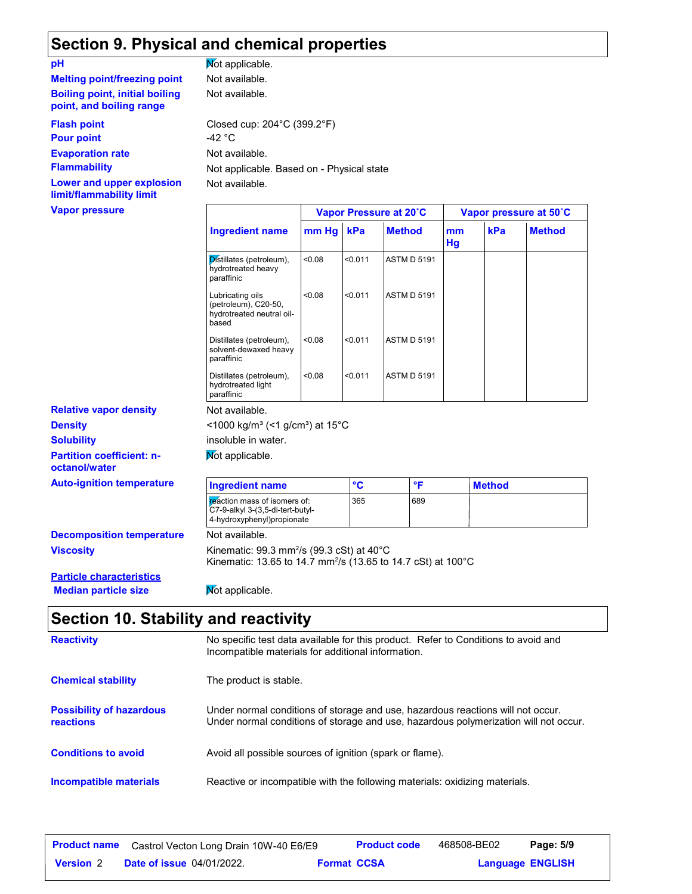## **Section 9. Physical and chemical properties**

| pH                                                                | Not applicable.                                                      |                  |    |
|-------------------------------------------------------------------|----------------------------------------------------------------------|------------------|----|
| <b>Melting point/freezing point</b>                               | Not available.                                                       |                  |    |
| <b>Boiling point, initial boiling</b><br>point, and boiling range | Not available.                                                       |                  |    |
| <b>Flash point</b><br><b>Pour point</b>                           | Closed cup: $204^{\circ}$ C (399.2 $^{\circ}$ F)<br>-42 $^{\circ}$ C |                  |    |
| <b>Evaporation rate</b><br><b>Flammability</b>                    | Not available.<br>Not applicable. Based on - Physica                 |                  |    |
| Lower and upper explosion<br>limit/flammability limit             | Not available.                                                       |                  |    |
| <b>Vapor pressure</b>                                             |                                                                      | <b>Vapor Pro</b> |    |
|                                                                   | <b>Ingredient name</b>                                               | mm Ha            | kP |

**Partition coefficient: noctanol/water Density Solubility Relative vapor density Auto-ignition temperature** 

**pH**

- Physical state

|                                                                                |        |         | Vapor Pressure at 20°C |                 |               | Vapor pressure at 50°C |
|--------------------------------------------------------------------------------|--------|---------|------------------------|-----------------|---------------|------------------------|
| Ingredient name                                                                | mm Hg  | kPa     | <b>Method</b>          | mm<br><b>Hg</b> | kPa           | <b>Method</b>          |
| Distillates (petroleum),<br>hydrotreated heavy<br>paraffinic                   | <0.08  | < 0.011 | <b>ASTM D 5191</b>     |                 |               |                        |
| Lubricating oils<br>(petroleum), C20-50,<br>hydrotreated neutral oil-<br>based | < 0.08 | < 0.011 | <b>ASTM D 5191</b>     |                 |               |                        |
| Distillates (petroleum),<br>solvent-dewaxed heavy<br>paraffinic                | < 0.08 | < 0.011 | <b>ASTM D 5191</b>     |                 |               |                        |
| Distillates (petroleum),<br>hydrotreated light<br>paraffinic                   | < 0.08 | < 0.011 | <b>ASTM D 5191</b>     |                 |               |                        |
| Not available.                                                                 |        |         |                        |                 |               |                        |
| <1000 kg/m <sup>3</sup> (<1 g/cm <sup>3</sup> ) at 15°C                        |        |         |                        |                 |               |                        |
| insoluble in water.                                                            |        |         |                        |                 |               |                        |
| Not applicable.                                                                |        |         |                        |                 |               |                        |
| <b>Ingredient name</b>                                                         |        | °C      | °F                     |                 | <b>Method</b> |                        |

365 689

|                                  | C7-9-alkyl 3-(3,5-di-tert-butyl-<br>4-hydroxyphenyl)propionate       |  |  |  |  |
|----------------------------------|----------------------------------------------------------------------|--|--|--|--|
| <b>Decomposition temperature</b> | Not available.                                                       |  |  |  |  |
| <b>Viscosity</b>                 | Kinematic: $99.3$ mm <sup>2</sup> /s ( $99.3$ cSt) at $40^{\circ}$ C |  |  |  |  |

reaction mass of isomers of:

Kinematic: 13.65 to 14.7 mm $^{2}\!/s$  (13.65 to 14.7 cSt) at 100 $^{\circ} \text{C}$ 

**Particle characteristics Median particle size Mot applicable.** 

### **Section 10. Stability and reactivity**

| <b>Reactivity</b>                            | No specific test data available for this product. Refer to Conditions to avoid and<br>Incompatible materials for additional information.                                |
|----------------------------------------------|-------------------------------------------------------------------------------------------------------------------------------------------------------------------------|
| <b>Chemical stability</b>                    | The product is stable.                                                                                                                                                  |
| <b>Possibility of hazardous</b><br>reactions | Under normal conditions of storage and use, hazardous reactions will not occur.<br>Under normal conditions of storage and use, hazardous polymerization will not occur. |
| <b>Conditions to avoid</b>                   | Avoid all possible sources of ignition (spark or flame).                                                                                                                |
| Incompatible materials                       | Reactive or incompatible with the following materials: oxidizing materials.                                                                                             |

|                  | <b>Product name</b> Castrol Vecton Long Drain 10W-40 E6/E9 |                    | <b>Product code</b> | 468508-BE02 | Page: 5/9               |  |
|------------------|------------------------------------------------------------|--------------------|---------------------|-------------|-------------------------|--|
| <b>Version 2</b> | <b>Date of issue 04/01/2022.</b>                           | <b>Format CCSA</b> |                     |             | <b>Language ENGLISH</b> |  |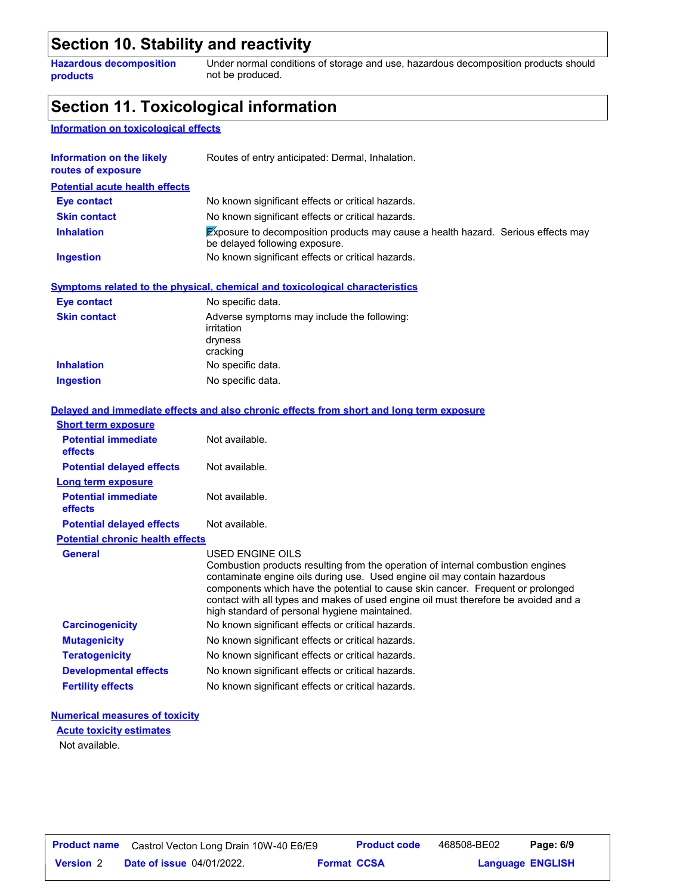#### **Section 10. Stability and reactivity**

**Hazardous decomposition products**

Under normal conditions of storage and use, hazardous decomposition products should not be produced.

### **Section 11. Toxicological information**

#### **Information on toxicological effects**

| <b>Potential acute health effects</b><br><b>Eye contact</b><br>No known significant effects or critical hazards.<br><b>Skin contact</b><br>No known significant effects or critical hazards.<br>Exposure to decomposition products may cause a health hazard. Serious effects may<br><b>Inhalation</b><br>be delayed following exposure.<br><b>Ingestion</b><br>No known significant effects or critical hazards.<br>Symptoms related to the physical, chemical and toxicological characteristics<br><b>Eye contact</b><br>No specific data.<br><b>Skin contact</b><br>Adverse symptoms may include the following:<br>irritation<br>dryness<br>cracking<br><b>Inhalation</b><br>No specific data.<br>Ingestion<br>No specific data.<br>Delayed and immediate effects and also chronic effects from short and long term exposure<br><b>Short term exposure</b> |  |
|---------------------------------------------------------------------------------------------------------------------------------------------------------------------------------------------------------------------------------------------------------------------------------------------------------------------------------------------------------------------------------------------------------------------------------------------------------------------------------------------------------------------------------------------------------------------------------------------------------------------------------------------------------------------------------------------------------------------------------------------------------------------------------------------------------------------------------------------------------------|--|
|                                                                                                                                                                                                                                                                                                                                                                                                                                                                                                                                                                                                                                                                                                                                                                                                                                                               |  |
|                                                                                                                                                                                                                                                                                                                                                                                                                                                                                                                                                                                                                                                                                                                                                                                                                                                               |  |
|                                                                                                                                                                                                                                                                                                                                                                                                                                                                                                                                                                                                                                                                                                                                                                                                                                                               |  |
|                                                                                                                                                                                                                                                                                                                                                                                                                                                                                                                                                                                                                                                                                                                                                                                                                                                               |  |
|                                                                                                                                                                                                                                                                                                                                                                                                                                                                                                                                                                                                                                                                                                                                                                                                                                                               |  |
|                                                                                                                                                                                                                                                                                                                                                                                                                                                                                                                                                                                                                                                                                                                                                                                                                                                               |  |
|                                                                                                                                                                                                                                                                                                                                                                                                                                                                                                                                                                                                                                                                                                                                                                                                                                                               |  |
|                                                                                                                                                                                                                                                                                                                                                                                                                                                                                                                                                                                                                                                                                                                                                                                                                                                               |  |
|                                                                                                                                                                                                                                                                                                                                                                                                                                                                                                                                                                                                                                                                                                                                                                                                                                                               |  |
|                                                                                                                                                                                                                                                                                                                                                                                                                                                                                                                                                                                                                                                                                                                                                                                                                                                               |  |
|                                                                                                                                                                                                                                                                                                                                                                                                                                                                                                                                                                                                                                                                                                                                                                                                                                                               |  |
| <b>Potential immediate</b><br>Not available.<br>effects                                                                                                                                                                                                                                                                                                                                                                                                                                                                                                                                                                                                                                                                                                                                                                                                       |  |
| <b>Potential delayed effects</b><br>Not available.                                                                                                                                                                                                                                                                                                                                                                                                                                                                                                                                                                                                                                                                                                                                                                                                            |  |
| Long term exposure                                                                                                                                                                                                                                                                                                                                                                                                                                                                                                                                                                                                                                                                                                                                                                                                                                            |  |
| <b>Potential immediate</b><br>Not available.<br>effects                                                                                                                                                                                                                                                                                                                                                                                                                                                                                                                                                                                                                                                                                                                                                                                                       |  |
| <b>Potential delayed effects</b><br>Not available.                                                                                                                                                                                                                                                                                                                                                                                                                                                                                                                                                                                                                                                                                                                                                                                                            |  |
| <b>Potential chronic health effects</b>                                                                                                                                                                                                                                                                                                                                                                                                                                                                                                                                                                                                                                                                                                                                                                                                                       |  |
| <b>General</b><br><b>USED ENGINE OILS</b><br>Combustion products resulting from the operation of internal combustion engines<br>contaminate engine oils during use. Used engine oil may contain hazardous<br>components which have the potential to cause skin cancer. Frequent or prolonged<br>contact with all types and makes of used engine oil must therefore be avoided and a<br>high standard of personal hygiene maintained.                                                                                                                                                                                                                                                                                                                                                                                                                          |  |
| <b>Carcinogenicity</b><br>No known significant effects or critical hazards.                                                                                                                                                                                                                                                                                                                                                                                                                                                                                                                                                                                                                                                                                                                                                                                   |  |
| <b>Mutagenicity</b><br>No known significant effects or critical hazards.                                                                                                                                                                                                                                                                                                                                                                                                                                                                                                                                                                                                                                                                                                                                                                                      |  |
| <b>Teratogenicity</b><br>No known significant effects or critical hazards.                                                                                                                                                                                                                                                                                                                                                                                                                                                                                                                                                                                                                                                                                                                                                                                    |  |
| <b>Developmental effects</b><br>No known significant effects or critical hazards.                                                                                                                                                                                                                                                                                                                                                                                                                                                                                                                                                                                                                                                                                                                                                                             |  |
| No known significant effects or critical hazards.<br><b>Fertility effects</b>                                                                                                                                                                                                                                                                                                                                                                                                                                                                                                                                                                                                                                                                                                                                                                                 |  |

#### **Numerical measures of toxicity**

Not available. **Acute toxicity estimates**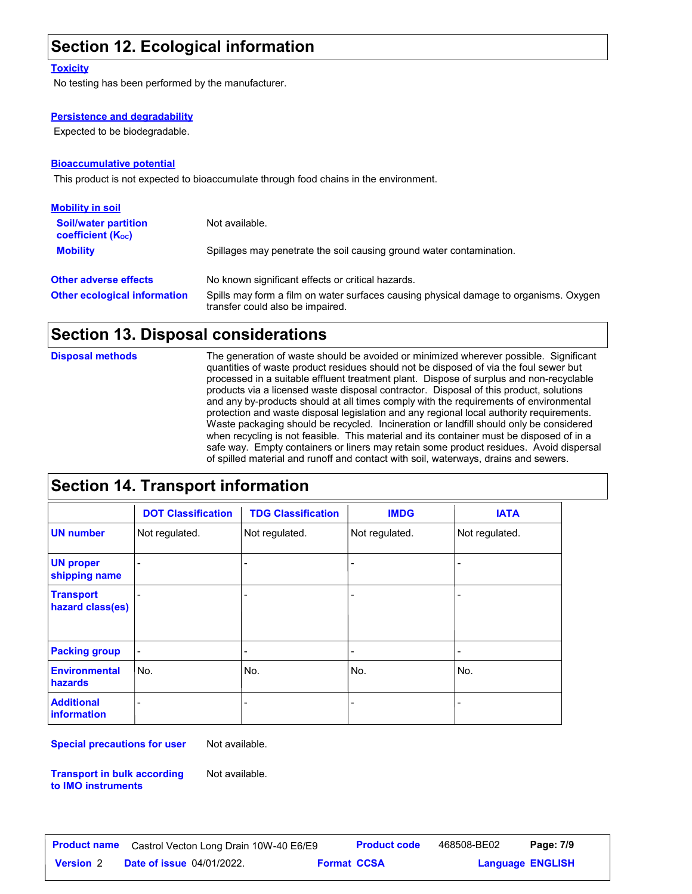## **Section 12. Ecological information**

#### **Toxicity**

No testing has been performed by the manufacturer.

#### **Persistence and degradability**

Expected to be biodegradable.

#### **Bioaccumulative potential**

This product is not expected to bioaccumulate through food chains in the environment.

| <b>Mobility in soil</b>                                 |                                                                                                                           |
|---------------------------------------------------------|---------------------------------------------------------------------------------------------------------------------------|
| <b>Soil/water partition</b><br><b>coefficient (Koc)</b> | Not available.                                                                                                            |
| <b>Mobility</b>                                         | Spillages may penetrate the soil causing ground water contamination.                                                      |
| <b>Other adverse effects</b>                            | No known significant effects or critical hazards.                                                                         |
| <b>Other ecological information</b>                     | Spills may form a film on water surfaces causing physical damage to organisms. Oxygen<br>transfer could also be impaired. |

#### **Section 13. Disposal considerations**

**Disposal methods**

The generation of waste should be avoided or minimized wherever possible. Significant quantities of waste product residues should not be disposed of via the foul sewer but processed in a suitable effluent treatment plant. Dispose of surplus and non-recyclable products via a licensed waste disposal contractor. Disposal of this product, solutions and any by-products should at all times comply with the requirements of environmental protection and waste disposal legislation and any regional local authority requirements. Waste packaging should be recycled. Incineration or landfill should only be considered when recycling is not feasible. This material and its container must be disposed of in a safe way. Empty containers or liners may retain some product residues. Avoid dispersal of spilled material and runoff and contact with soil, waterways, drains and sewers.

### **Section 14. Transport information**

|                                         | <b>DOT Classification</b> | <b>TDG Classification</b> | <b>IMDG</b>              | <b>IATA</b>    |
|-----------------------------------------|---------------------------|---------------------------|--------------------------|----------------|
| <b>UN number</b>                        | Not regulated.            | Not regulated.            | Not regulated.           | Not regulated. |
| <b>UN proper</b><br>shipping name       | $\overline{a}$            | ٠                         | $\overline{\phantom{a}}$ |                |
| <b>Transport</b><br>hazard class(es)    |                           | ٠                         | $\overline{a}$           |                |
| <b>Packing group</b>                    | $\overline{\phantom{0}}$  | $\overline{\phantom{a}}$  | $\overline{\phantom{a}}$ |                |
| <b>Environmental</b><br>hazards         | No.                       | No.                       | No.                      | No.            |
| <b>Additional</b><br><b>information</b> |                           | $\overline{\phantom{a}}$  | $\overline{a}$           |                |

**Special precautions for user** Not available.

**Transport in bulk according to IMO instruments**

Not available.

**Date of issue** 04/01/2022. **Version** 2 **Format Language Product name** Castrol Vecton Long Drain 10W-40 E6/E9 **Product code** 468508-BE02 **Page: 7/9** | **Language ENGLISH** 468508-BE02 Page: 7/9 **Format CCSA**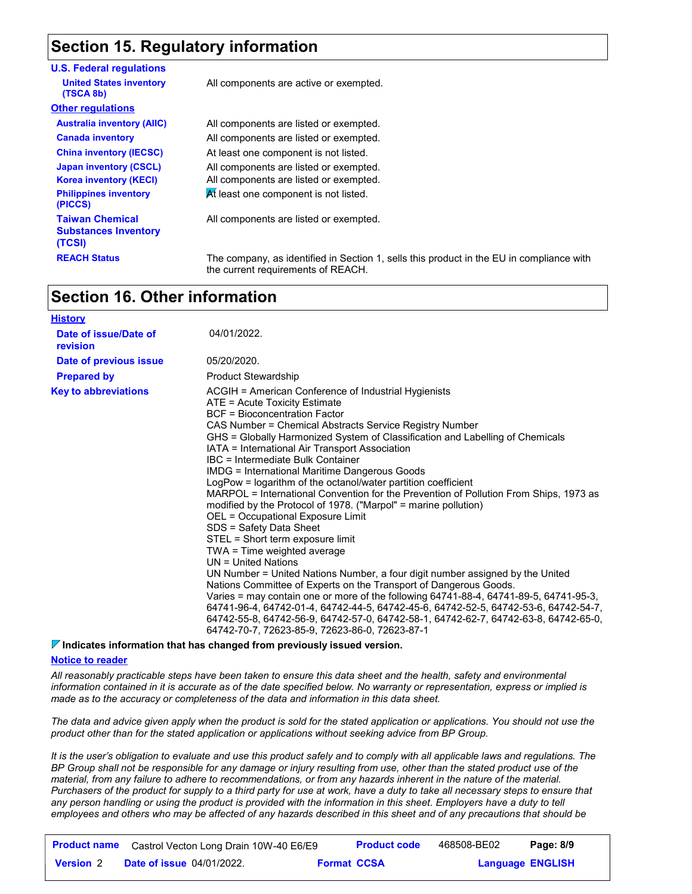## **Section 15. Regulatory information**

| <b>U.S. Federal regulations</b>                                 |                                                                                  |
|-----------------------------------------------------------------|----------------------------------------------------------------------------------|
| <b>United States inventory</b><br>(TSCA 8b)                     | All components are active or exempted.                                           |
| <b>Other regulations</b>                                        |                                                                                  |
| <b>Australia inventory (AIIC)</b>                               | All components are listed or exempted.                                           |
| <b>Canada inventory</b>                                         | All components are listed or exempted.                                           |
| <b>China inventory (IECSC)</b>                                  | At least one component is not listed.                                            |
| <b>Japan inventory (CSCL)</b><br><b>Korea inventory (KECI)</b>  | All components are listed or exempted.<br>All components are listed or exempted. |
| <b>Philippines inventory</b><br>(PICCS)                         | At least one component is not listed.                                            |
| <b>Taiwan Chemical</b><br><b>Substances Inventory</b><br>(TCSI) | All components are listed or exempted.                                           |
| <b>REACH Status</b>                                             | The company, as identified in Section 1, sell                                    |

1, sells this product in the EU in compliance with the current requirements of REACH.

### **Section 16. Other information**

| <b>History</b>                    |                                                                                                                                                                                                                                                                                                                                                                                                                                                                                                                                                                                                                                                                                                                                                                                                                                                                                                                                                                                                                                                                                                                                                                                                                                                                                           |
|-----------------------------------|-------------------------------------------------------------------------------------------------------------------------------------------------------------------------------------------------------------------------------------------------------------------------------------------------------------------------------------------------------------------------------------------------------------------------------------------------------------------------------------------------------------------------------------------------------------------------------------------------------------------------------------------------------------------------------------------------------------------------------------------------------------------------------------------------------------------------------------------------------------------------------------------------------------------------------------------------------------------------------------------------------------------------------------------------------------------------------------------------------------------------------------------------------------------------------------------------------------------------------------------------------------------------------------------|
| Date of issue/Date of<br>revision | 04/01/2022.                                                                                                                                                                                                                                                                                                                                                                                                                                                                                                                                                                                                                                                                                                                                                                                                                                                                                                                                                                                                                                                                                                                                                                                                                                                                               |
| Date of previous issue            | 05/20/2020.                                                                                                                                                                                                                                                                                                                                                                                                                                                                                                                                                                                                                                                                                                                                                                                                                                                                                                                                                                                                                                                                                                                                                                                                                                                                               |
| <b>Prepared by</b>                | <b>Product Stewardship</b>                                                                                                                                                                                                                                                                                                                                                                                                                                                                                                                                                                                                                                                                                                                                                                                                                                                                                                                                                                                                                                                                                                                                                                                                                                                                |
| <b>Key to abbreviations</b>       | ACGIH = American Conference of Industrial Hygienists<br>ATE = Acute Toxicity Estimate<br><b>BCF</b> = Bioconcentration Factor<br>CAS Number = Chemical Abstracts Service Registry Number<br>GHS = Globally Harmonized System of Classification and Labelling of Chemicals<br>IATA = International Air Transport Association<br>IBC = Intermediate Bulk Container<br>IMDG = International Maritime Dangerous Goods<br>LogPow = logarithm of the octanol/water partition coefficient<br>MARPOL = International Convention for the Prevention of Pollution From Ships, 1973 as<br>modified by the Protocol of 1978. ("Marpol" = marine pollution)<br>OEL = Occupational Exposure Limit<br>SDS = Safety Data Sheet<br>STEL = Short term exposure limit<br>TWA = Time weighted average<br>$UN = United Nations$<br>UN Number = United Nations Number, a four digit number assigned by the United<br>Nations Committee of Experts on the Transport of Dangerous Goods.<br>Varies = may contain one or more of the following 64741-88-4, 64741-89-5, 64741-95-3,<br>64741-96-4, 64742-01-4, 64742-44-5, 64742-45-6, 64742-52-5, 64742-53-6, 64742-54-7,<br>64742-55-8, 64742-56-9, 64742-57-0, 64742-58-1, 64742-62-7, 64742-63-8, 64742-65-0,<br>64742-70-7, 72623-85-9, 72623-86-0, 72623-87-1 |

#### **Indicates information that has changed from previously issued version.**

#### **Notice to reader**

*All reasonably practicable steps have been taken to ensure this data sheet and the health, safety and environmental information contained in it is accurate as of the date specified below. No warranty or representation, express or implied is made as to the accuracy or completeness of the data and information in this data sheet.*

*The data and advice given apply when the product is sold for the stated application or applications. You should not use the product other than for the stated application or applications without seeking advice from BP Group.*

*It is the user's obligation to evaluate and use this product safely and to comply with all applicable laws and regulations. The BP Group shall not be responsible for any damage or injury resulting from use, other than the stated product use of the material, from any failure to adhere to recommendations, or from any hazards inherent in the nature of the material. Purchasers of the product for supply to a third party for use at work, have a duty to take all necessary steps to ensure that*  any person handling or using the product is provided with the information in this sheet. Employers have a duty to tell *employees and others who may be affected of any hazards described in this sheet and of any precautions that should be* 

|                  | <b>Product name</b> Castrol Vecton Long Drain 10W-40 E6/E9 |                    | <b>Product code</b> | 468508-BE02             | Page: 8/9 |
|------------------|------------------------------------------------------------|--------------------|---------------------|-------------------------|-----------|
| <b>Version 2</b> | <b>Date of issue 04/01/2022.</b>                           | <b>Format CCSA</b> |                     | <b>Language ENGLISH</b> |           |